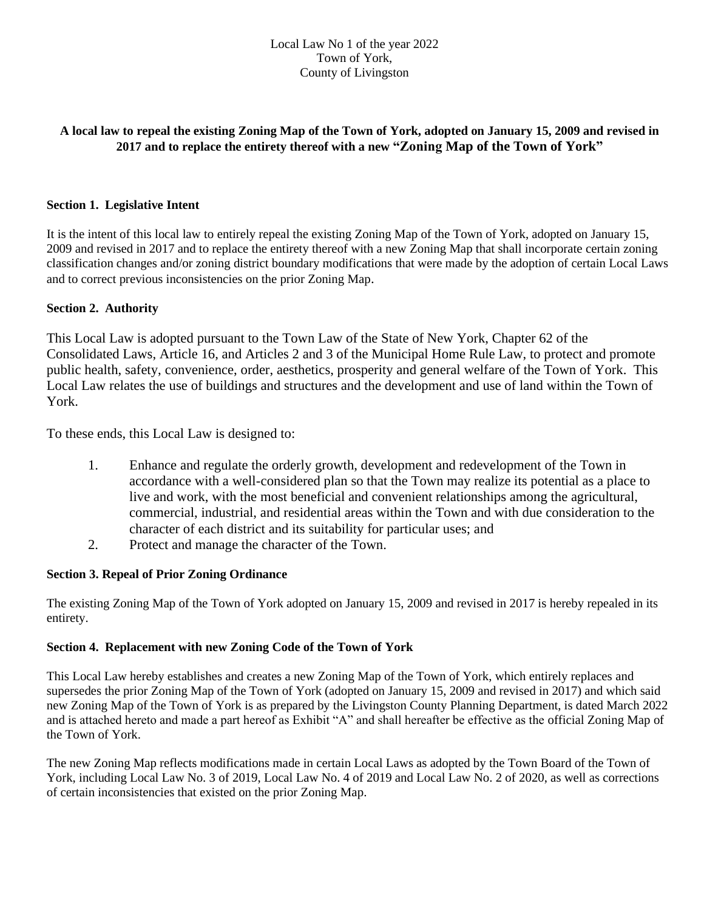## **A local law to repeal the existing Zoning Map of the Town of York, adopted on January 15, 2009 and revised in 2017 and to replace the entirety thereof with a new "Zoning Map of the Town of York"**

### **Section 1. Legislative Intent**

It is the intent of this local law to entirely repeal the existing Zoning Map of the Town of York, adopted on January 15, 2009 and revised in 2017 and to replace the entirety thereof with a new Zoning Map that shall incorporate certain zoning classification changes and/or zoning district boundary modifications that were made by the adoption of certain Local Laws and to correct previous inconsistencies on the prior Zoning Map.

#### **Section 2. Authority**

This Local Law is adopted pursuant to the Town Law of the State of New York, Chapter 62 of the Consolidated Laws, Article 16, and Articles 2 and 3 of the Municipal Home Rule Law, to protect and promote public health, safety, convenience, order, aesthetics, prosperity and general welfare of the Town of York. This Local Law relates the use of buildings and structures and the development and use of land within the Town of York.

To these ends, this Local Law is designed to:

- 1. Enhance and regulate the orderly growth, development and redevelopment of the Town in accordance with a well-considered plan so that the Town may realize its potential as a place to live and work, with the most beneficial and convenient relationships among the agricultural, commercial, industrial, and residential areas within the Town and with due consideration to the character of each district and its suitability for particular uses; and
- 2. Protect and manage the character of the Town.

#### **Section 3. Repeal of Prior Zoning Ordinance**

The existing Zoning Map of the Town of York adopted on January 15, 2009 and revised in 2017 is hereby repealed in its entirety.

#### **Section 4. Replacement with new Zoning Code of the Town of York**

This Local Law hereby establishes and creates a new Zoning Map of the Town of York, which entirely replaces and supersedes the prior Zoning Map of the Town of York (adopted on January 15, 2009 and revised in 2017) and which said new Zoning Map of the Town of York is as prepared by the Livingston County Planning Department, is dated March 2022 and is attached hereto and made a part hereof as Exhibit "A" and shall hereafter be effective as the official Zoning Map of the Town of York.

The new Zoning Map reflects modifications made in certain Local Laws as adopted by the Town Board of the Town of York, including Local Law No. 3 of 2019, Local Law No. 4 of 2019 and Local Law No. 2 of 2020, as well as corrections of certain inconsistencies that existed on the prior Zoning Map.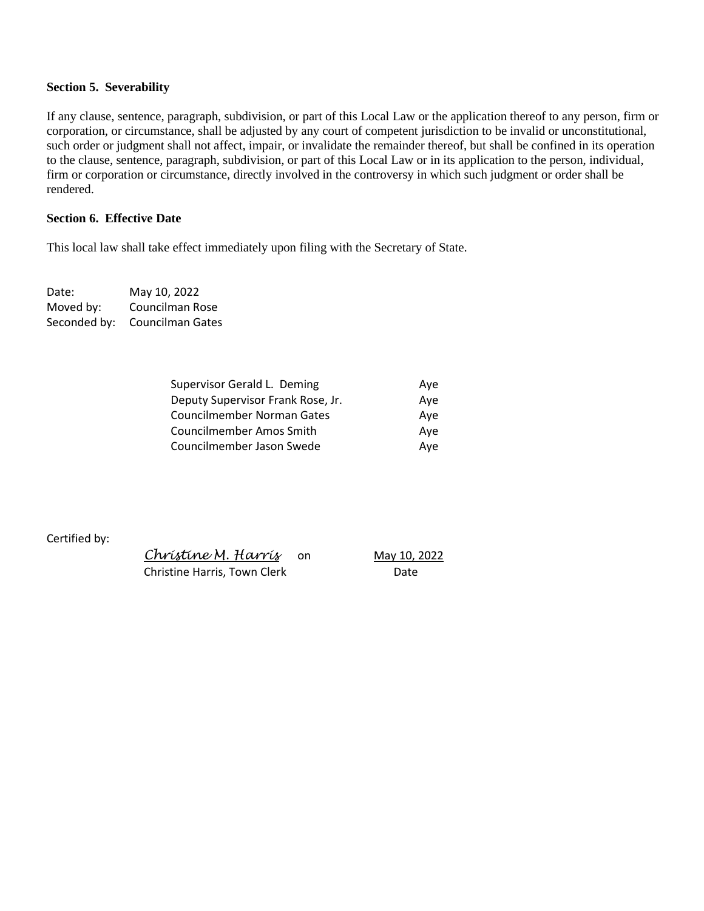#### **Section 5. Severability**

If any clause, sentence, paragraph, subdivision, or part of this Local Law or the application thereof to any person, firm or corporation, or circumstance, shall be adjusted by any court of competent jurisdiction to be invalid or unconstitutional, such order or judgment shall not affect, impair, or invalidate the remainder thereof, but shall be confined in its operation to the clause, sentence, paragraph, subdivision, or part of this Local Law or in its application to the person, individual, firm or corporation or circumstance, directly involved in the controversy in which such judgment or order shall be rendered.

#### **Section 6. Effective Date**

This local law shall take effect immediately upon filing with the Secretary of State.

Date: May 10, 2022 Moved by: Councilman Rose Seconded by: Councilman Gates

| Ave |
|-----|
| Ave |
| Ave |
| Ave |
| Ave |
|     |

Certified by:

 *Christine M. Harris* on May 10, 2022 Christine Harris, Town Clerk **Christine Harris**, Town Clerk